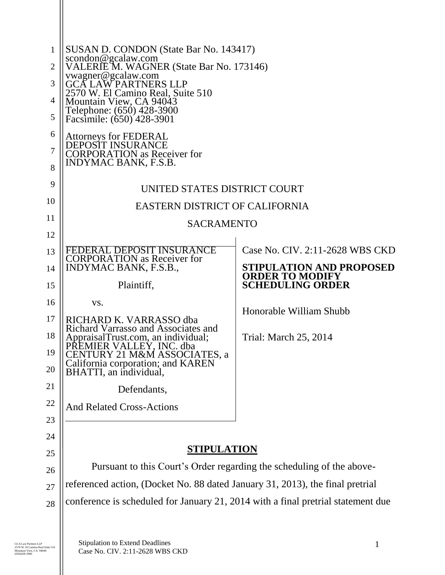| $\mathbf{1}$<br>$\overline{2}$<br>3<br>4<br>5<br>6<br>7<br>8 | SUSAN D. CONDON (State Bar No. 143417)<br>scondon@gcalaw.com<br>VALERIE M. WAGNER (State Bar No. 173146)<br>vwagner@gcalaw.com<br><b>GCA LAW PARTNERS LLP</b><br>2570 W. El Camino Real, Suite 510<br>Mountain View, CA 94043<br>Telephone: (650) 428-3900<br>Facsimile: (650) 428-3901<br><b>Attorneys for FEDERAL</b><br><b>DEPOSIT INSURANCE</b><br><b>CORPORATION</b> as Receiver for<br>INDYMAC BANK, F.S.B. |                                                   |  |
|--------------------------------------------------------------|-------------------------------------------------------------------------------------------------------------------------------------------------------------------------------------------------------------------------------------------------------------------------------------------------------------------------------------------------------------------------------------------------------------------|---------------------------------------------------|--|
| 9                                                            | UNITED STATES DISTRICT COURT                                                                                                                                                                                                                                                                                                                                                                                      |                                                   |  |
| 10                                                           |                                                                                                                                                                                                                                                                                                                                                                                                                   |                                                   |  |
| 11                                                           | <b>EASTERN DISTRICT OF CALIFORNIA</b><br><b>SACRAMENTO</b>                                                                                                                                                                                                                                                                                                                                                        |                                                   |  |
| 12                                                           |                                                                                                                                                                                                                                                                                                                                                                                                                   |                                                   |  |
| 13                                                           | FEDERAL DEPOSIT INSURANCE                                                                                                                                                                                                                                                                                                                                                                                         | Case No. CIV. 2:11-2628 WBS CKD                   |  |
| 14                                                           | <b>CORPORATION</b> as Receiver for<br>INDYMAC BANK, F.S.B.,                                                                                                                                                                                                                                                                                                                                                       | <b>STIPULATION AND PROPOSED</b>                   |  |
| 15                                                           | Plaintiff,                                                                                                                                                                                                                                                                                                                                                                                                        | <b>ORDER TO MODIFY</b><br><b>SCHEDULING ORDER</b> |  |
| 16                                                           | VS.                                                                                                                                                                                                                                                                                                                                                                                                               |                                                   |  |
| 17                                                           | RICHARD K. VARRASSO dba                                                                                                                                                                                                                                                                                                                                                                                           | Honorable William Shubb                           |  |
| 18                                                           | Richard Varrasso and Associates and<br>AppraisalTrust.com, an individual;                                                                                                                                                                                                                                                                                                                                         | Trial: March 25, 2014                             |  |
| 19                                                           | PREMIER VALLEY, INC. dba<br>CENTURY 21 M&M ASSOCIATES, a                                                                                                                                                                                                                                                                                                                                                          |                                                   |  |
| 20                                                           | California corporation; and KAREN<br>BHATTI, an individual,                                                                                                                                                                                                                                                                                                                                                       |                                                   |  |
| 21                                                           | Defendants,                                                                                                                                                                                                                                                                                                                                                                                                       |                                                   |  |
| 22                                                           | <b>And Related Cross-Actions</b>                                                                                                                                                                                                                                                                                                                                                                                  |                                                   |  |
| 23                                                           |                                                                                                                                                                                                                                                                                                                                                                                                                   |                                                   |  |
| 24                                                           |                                                                                                                                                                                                                                                                                                                                                                                                                   |                                                   |  |
| 25                                                           | <b>STIPULATION</b>                                                                                                                                                                                                                                                                                                                                                                                                |                                                   |  |
| 26                                                           | Pursuant to this Court's Order regarding the scheduling of the above-                                                                                                                                                                                                                                                                                                                                             |                                                   |  |
| 27                                                           | referenced action, (Docket No. 88 dated January 31, 2013), the final pretrial                                                                                                                                                                                                                                                                                                                                     |                                                   |  |
| 28                                                           | conference is scheduled for January 21, 2014 with a final pretrial statement due                                                                                                                                                                                                                                                                                                                                  |                                                   |  |
|                                                              |                                                                                                                                                                                                                                                                                                                                                                                                                   |                                                   |  |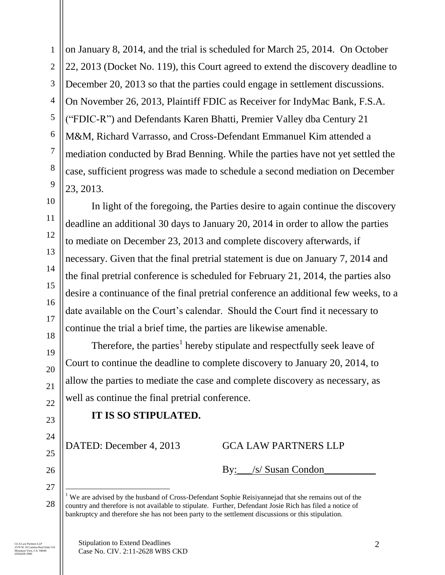1

on January 8, 2014, and the trial is scheduled for March 25, 2014. On October 22, 2013 (Docket No. 119), this Court agreed to extend the discovery deadline to December 20, 2013 so that the parties could engage in settlement discussions. On November 26, 2013, Plaintiff FDIC as Receiver for IndyMac Bank, F.S.A. ("FDIC-R") and Defendants Karen Bhatti, Premier Valley dba Century 21 M&M, Richard Varrasso, and Cross-Defendant Emmanuel Kim attended a mediation conducted by Brad Benning. While the parties have not yet settled the case, sufficient progress was made to schedule a second mediation on December 23, 2013.

In light of the foregoing, the Parties desire to again continue the discovery deadline an additional 30 days to January 20, 2014 in order to allow the parties to mediate on December 23, 2013 and complete discovery afterwards, if necessary. Given that the final pretrial statement is due on January 7, 2014 and the final pretrial conference is scheduled for February 21, 2014, the parties also desire a continuance of the final pretrial conference an additional few weeks, to a date available on the Court's calendar. Should the Court find it necessary to continue the trial a brief time, the parties are likewise amenable.

Therefore, the parties<sup>1</sup> hereby stipulate and respectfully seek leave of Court to continue the deadline to complete discovery to January 20, 2014, to allow the parties to mediate the case and complete discovery as necessary, as well as continue the final pretrial conference.

## **IT IS SO STIPULATED.**

DATED: December 4, 2013 GCA LAW PARTNERS LLP

By: /s/ Susan Condon

 $\overline{a}$ 

<sup>&</sup>lt;sup>1</sup> We are advised by the husband of Cross-Defendant Sophie Reisiyannejad that she remains out of the country and therefore is not available to stipulate. Further, Defendant Josie Rich has filed a notice of bankruptcy and therefore she has not been party to the settlement discussions or this stipulation.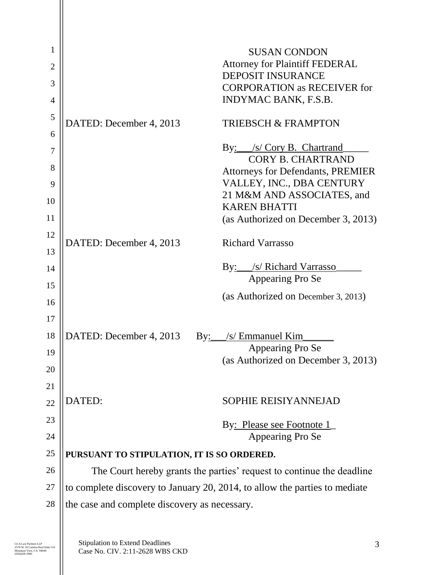| 1              |                                                                            | <b>SUSAN CONDON</b>                                                   |  |
|----------------|----------------------------------------------------------------------------|-----------------------------------------------------------------------|--|
| $\overline{2}$ |                                                                            | <b>Attorney for Plaintiff FEDERAL</b>                                 |  |
| 3              |                                                                            | <b>DEPOSIT INSURANCE</b>                                              |  |
| 4              |                                                                            | <b>CORPORATION as RECEIVER for</b><br><b>INDYMAC BANK, F.S.B.</b>     |  |
| 5              |                                                                            |                                                                       |  |
| 6              | DATED: December 4, 2013                                                    | <b>TRIEBSCH &amp; FRAMPTON</b>                                        |  |
| $\tau$         |                                                                            | By: /s/ Cory B. Chartrand                                             |  |
| 8              |                                                                            | <b>CORY B. CHARTRAND</b>                                              |  |
|                |                                                                            | <b>Attorneys for Defendants, PREMIER</b><br>VALLEY, INC., DBA CENTURY |  |
| 9              |                                                                            | 21 M&M AND ASSOCIATES, and                                            |  |
| 10             |                                                                            | <b>KAREN BHATTI</b>                                                   |  |
| 11             |                                                                            | (as Authorized on December 3, 2013)                                   |  |
| 12             | DATED: December 4, 2013                                                    | <b>Richard Varrasso</b>                                               |  |
| 13             |                                                                            |                                                                       |  |
| 14             |                                                                            | By: /s/ Richard Varrasso                                              |  |
| 15             |                                                                            | Appearing Pro Se                                                      |  |
| 16             |                                                                            | (as Authorized on December 3, 2013)                                   |  |
| 17             |                                                                            |                                                                       |  |
| 18             | DATED: December 4, 2013                                                    | By: /s/ Emmanuel Kim                                                  |  |
| 19             |                                                                            | Appearing Pro Se                                                      |  |
| 20             |                                                                            | (as Authorized on December 3, 2013)                                   |  |
| 21             |                                                                            |                                                                       |  |
| 22             | <b>DATED:</b>                                                              | <b>SOPHIE REISIYANNEJAD</b>                                           |  |
| 23             |                                                                            |                                                                       |  |
| 24             |                                                                            | By: Please see Footnote 1<br>Appearing Pro Se                         |  |
| 25             | PURSUANT TO STIPULATION, IT IS SO ORDERED.                                 |                                                                       |  |
| 26             | The Court hereby grants the parties' request to continue the deadline      |                                                                       |  |
| 27             | to complete discovery to January 20, 2014, to allow the parties to mediate |                                                                       |  |
| 28             | the case and complete discovery as necessary.                              |                                                                       |  |
|                |                                                                            |                                                                       |  |
|                |                                                                            |                                                                       |  |